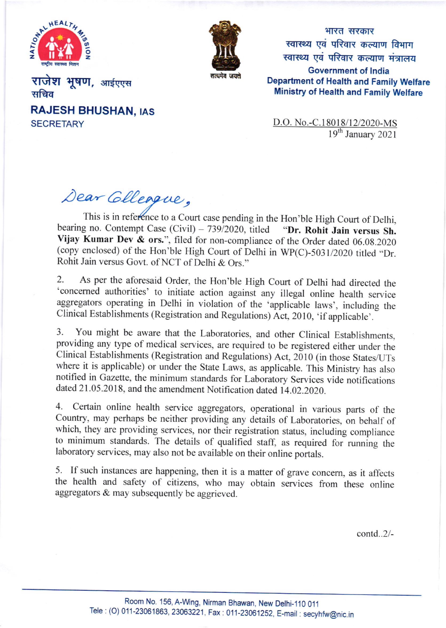



भारत सरकार स्वास्थ्य एवं परिवार कल्याण विभाग स्वास्थ्य एवं परिवार कल्याण मंत्रालय Government of lndia Department of Health and Family Welfare Ministry of Health and Family Welfare

राजेश भूषण, आईएएस सचिव **RAJESH BHUSHAN, IAS SECRETARY** 

D.O. No.-C.18018/12/2020-MS 19<sup>th</sup> January 2021

ear Cilleague,

bearing no. Contempt Case (Civil) – 739/2020, titled **"Dr. Rohit Jain versus Sh.**<br>Vijay Kumar Dev & ors.", filed for non-compliance of the Order dated 06.08.2020 (copy enclosed) of the Hon'ble High Court of Delhi in  $WP(C)$ -5031/2020 titled "Dr. Rohit Jain versus Govt. of NCT of Delhi & Ors." This is in reference to a Court case pending in the Hon'ble High Court of Delhi, bearing no. Contempt Case (Civil)  $- 739/2020$ , titled

2. As per the aforesaid order, the Hon'ble High Court of Delhi had directed the 'concemed authorities' to initiate action against any illegal online health service aggregators operating in Delhi in violation of the 'applicable laws', including the Clinical Establishments (Registration and Regulations) Act, 2010, 'if applicable'.

3. You might be aware that the Laboratories, and other clinical Establishments, providing any type of medical services, are required to be registered either under the clinical Establishments (Registration and Regulations) Act,2010 (in those States/UTs where it is applicable) or under the State Laws, as applicable. This Ministry has also notified in Gazette, the minimum standards for Laboratory Services vide notifications dated 21.05.2018, and the amendment Notification dated 14.02.2020.

4. certain online health service aggregators, operational in various parts of the country, may perhaps be neither providing any details of Laboratories, on behalf of which, they are providing services, nor their registration status, including compliance to minimum standards. The details of qualified staff, as required for running the laboratory services, may also not be available on their online portals.

5. If such instances are happening, then it is a matter of grave concern, as it affects the health and safety of citizens, who may obtain services from these online aggregators & may subsequently be aggrieved.

contd..2/-